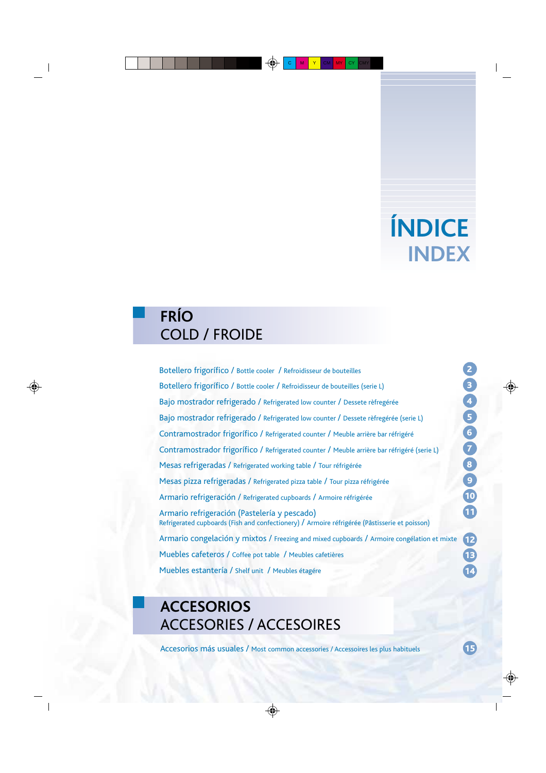# **ÍNDICE INDEX**

## **FRÍO** COLD / FROIDE

Botellero frigorífico / Bottle cooler / Refroidisseur de bouteilles Botellero frigorífico / Bottle cooler / Refroidisseur de bouteilles (serie L) Bajo mostrador refrigerado / Refrigerated low counter / Dessete rèfregérée Bajo mostrador refrigerado / Refrigerated low counter / Dessete rèfregérée (serie L) Contramostrador frigorífico / Refrigerated counter / Meuble arrière bar réfrigéré Contramostrador frigorífico / Refrigerated counter / Meuble arrière bar réfrigéré (serie L) Mesas refrigeradas / Refrigerated working table / Tour réfrigérée Mesas pizza refrigeradas / Refrigerated pizza table / Tour pizza réfrigérée Armario refrigeración / Refrigerated cupboards / Armoire réfrigérée Armario refrigeración (Pastelería y pescado) Refrigerated cupboards (Fish and confectionery) / Armoire réfrigérée (Pâstisserie et poisson) Armario congelación y mixtos / Freezing and mixed cupboards / Armoire congélation et mixte Muebles cafeteros / Coffee pot table / Meubles cafetières Muebles estantería / Shelf unit / Meubles étagére

## **ACCESORIOS** ACCESORIES / ACCESOIRES

Accesorios más usuales / Most common accessories / Accessoires les plus habituels

15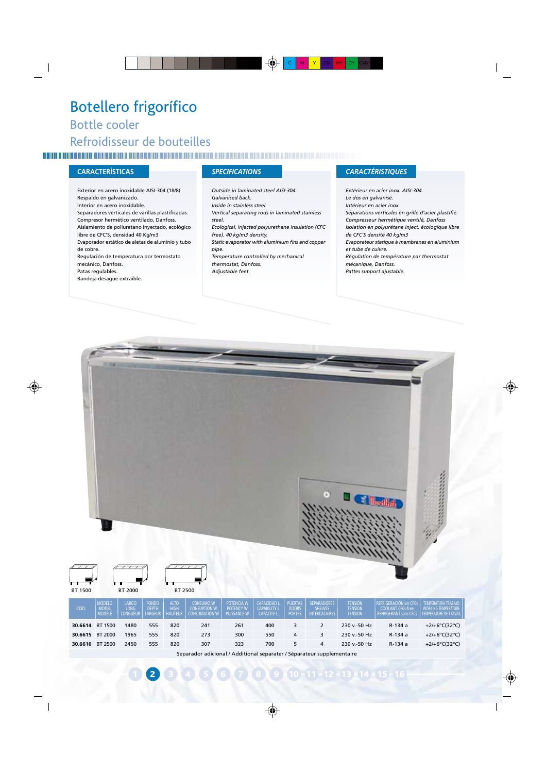## Botellero frigorífico Bottle cooler Refroidisseur de bouteilles

Exterior en acero inoxidable AISI-304 (18/8) Respaldo en galvanizado. Interior en acero inoxidable. Separadores verticales de varillas plastificadas. Compresor hermético ventilado, Danfoss. Aislamiento de poliuretano inyectado, ecológico libre de CFC'S, densidad 40 Kg/m3 Evaporador estático de aletas de aluminio y tubo de cobre. Regulación de temperatura por termostato mecánico, Danfoss. Patas regulables. Bandeja desagüe extraible.

*Outside in laminated steel AISI-304. Galvanised back. Inside in stainless steel. Vertical separating rods in laminated stainless steel. Ecological, injected polyurethane insulation (CFC free). 40 kg/m3 density. Static evaporator with aluminium fins and copper pipe. Temperature controlled by mechanical thermostat, Danfoss. Adjustable feet.*

### **CARACTERÍSTICAS** *SPECIFICATIONS CARACTÉRISTIQUES*

*Extérieur en acier inox. AISI-304. Le dos en galvanisé. Intérieur en acier inox. Séparations verticales en grille d'acier plastifié. Compresseur hermétique ventilé, Danfoss Isolation en polyurétane inject, écologique libre de CFC'S densité 40 kg/m3 Evaporateur statique à membranes en aluminium et tube de cuivre. Régulation de température par thermostat mécanique, Danfoss. Pattes support ajustable.*

| BT 1500         |                                  | <b>BT 2000</b>                   |                           | BT 2500                                      |                                                                        |                                  |                                                    |                                                 | $\left( 1\right)$                              |                               |                                                                      |                                                                             |
|-----------------|----------------------------------|----------------------------------|---------------------------|----------------------------------------------|------------------------------------------------------------------------|----------------------------------|----------------------------------------------------|-------------------------------------------------|------------------------------------------------|-------------------------------|----------------------------------------------------------------------|-----------------------------------------------------------------------------|
| COD.            | MODELO<br>MODEL<br><b>MODÈLE</b> | LARGO<br>LONG<br><b>LONGUEUR</b> | FONDO<br>DEPTH<br>LARGEUR | <b>ALTO</b><br><b>HIGH</b><br><b>HAUTEUR</b> | CONSUMO W<br>CONSUPTION W<br><b>CONSUMATION W</b>                      | POTENCIA W<br><b>PUISSANCE W</b> | CAPACIDAD L.<br>CAPABILITY L.<br><b>CAPACITÉ L</b> | <b>PUERTAS</b><br><b>DOORS</b><br><b>PORTES</b> | SEPARADORES<br>SHELVES<br><b>INTERCALAIRES</b> | TENSIÓN<br>TENSION<br>TENSION | REFRIGERACIÓN sin CFCs<br>COOLANT CFCs-free<br>REFRIGERANT sans CFCs | TEMPERATURA TRABAJO<br><b>WORKING TEMPERATURE</b><br>TEMPÉRATURE DE TRAVAIL |
| 30.6614 BT 1500 |                                  | 1480                             | 555                       | 820                                          | 241                                                                    | 261                              | 400                                                | 3                                               | $\overline{2}$                                 | 230 v .- 50 Hz                | R-134 a                                                              | +2/+6°C(32°C)                                                               |
| 30.6615 BT 2000 |                                  | 1965                             | 555                       | 820                                          | 273                                                                    | 300                              | 550                                                | 4                                               | 3                                              | 230 v .- 50 Hz                | R-134 a                                                              | +2/+6°C(32°C)                                                               |
| 30.6616 BT 2500 |                                  | 2450                             | 555                       | 820                                          | 307                                                                    | 323                              | 700                                                | 5                                               | 4                                              | 230 v.-50 Hz                  | R-134 a                                                              | +2/+6°C(32°C)                                                               |
|                 |                                  |                                  |                           |                                              | Separador adicional / Additional separater / Séparateur supplementaire |                                  |                                                    |                                                 |                                                |                               |                                                                      |                                                                             |

**2**  $\overline{3}$   $\overline{4}$   $\overline{5}$   $\overline{6}$   $\overline{7}$   $\overline{8}$   $\overline{9}$   $\overline{10}$   $\overline{11}$   $\overline{12}$   $\overline{13}$   $\overline{14}$   $\overline{15}$   $\overline{16}$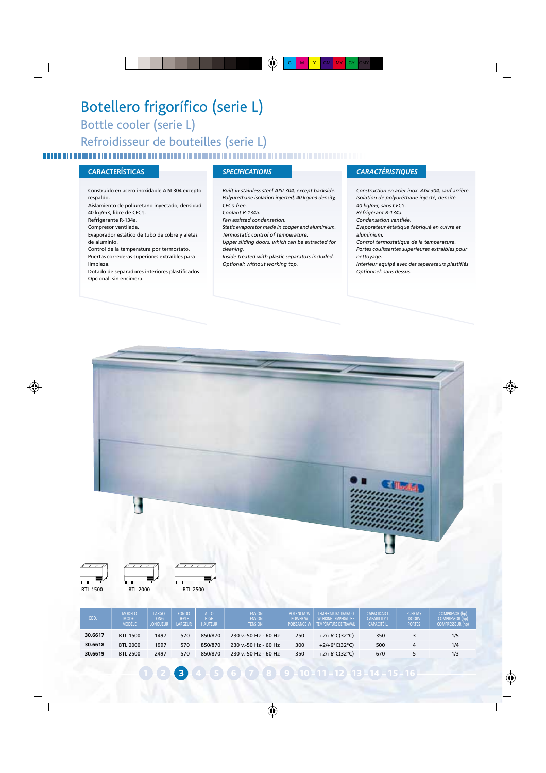## Botellero frigorífico (serie L) Bottle cooler (serie L) Refroidisseur de bouteilles (serie L)

### **CARACTERÍSTICAS** *SPECIFICATIONS CARACTÉRISTIQUES*

Construido en acero inoxidable AISI 304 excepto respaldo. Aislamiento de poliuretano inyectado, densidad 40 kg/m3, libre de CFC's. Refrigerante R-134a. Compresor ventilada. Evaporador estático de tubo de cobre y aletas de aluminio. Control de la temperatura por termostato. Puertas correderas superiores extraíbles para limpieza. Dotado de separadores interiores plastificados Opcional: sin encimera.

*Built in stainless steel AISI 304, except backside. Polyurethane isolation injected, 40 kg/m3 density, CFC's free.*

*Coolant R-134a.*

*Fan assisted condensation.*

*Static evaporator made in cooper and aluminium.*

*Termostatic control of temperature.*

*Upper sliding doors, which can be extracted for cleaning.*

*Inside treated with plastic separators included. Optional: without working top.*

*Construction en acier inox. AISI 304, sauf arrière. Isolation de polyuréthane injecté, densité 40 kg/m3, sans CFC's. Réfrigérant R-134a.*

*Condensation ventilée.*

*Evaporateur éstatique fabriqué en cuivre et aluminium.*

*Control termostatique de la temperature. Portes coulissantes superieures extraibles pour nettoyage.*

*Interieur equipé avec des separateurs plastifiés Optionnel: sans dessus.*



BTL 1500 BTL 2000 BTL 2500



**3 4 4 5 6 7 8 9 10 11 - 12 13 14 - 15 - 16**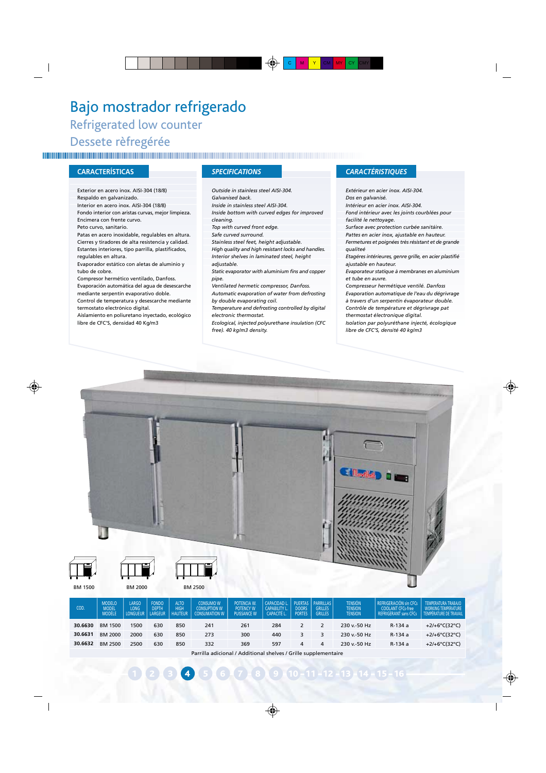## Bajo mostrador refrigerado Refrigerated low counter Dessete rèfregérée

### **CARACTERÍSTICAS** *SPECIFICATIONS CARACTÉRISTIQUES*

Exterior en acero inox. AISI-304 (18/8) Respaldo en galvanizado. Interior en acero inox. AISI-304 (18/8) Fondo interior con aristas curvas, mejor limpieza. Encimera con frente curvo. Peto curvo, sanitario. Patas en acero inoxidable, regulables en altura. Cierres y tiradores de alta resistencia y calidad. Estantes interiores, tipo parrilla, plastificados, regulables en altura. Evaporador estático con aletas de aluminio y tubo de cobre. Compresor hermético ventilado, Danfoss. Evaporación automática del agua de desescarche mediante serpentín evaporativo doble.

Control de temperatura y desescarche mediante termostato electrónico digital.

Aislamiento en poliuretano inyectado, ecológico libre de CFC'S, densidad 40 Kg/m3

*Outside in stainless steel AISI-304. Galvanised back. Inside in stainless steel AISI-304. Inside bottom with curved edges for improved cleaning. Top with curved front edge. Safe curved surround. Stainless steel feet, height adjustable. High quality and high resistant locks and handles. Interior shelves in laminated steel, height adjustable. Static evaporator with aluminium fins and copper pipe. Ventilated hermetic compressor, Danfoss. Automatic evaporation of water from defrosting by double evaporating coil. Temperature and defrosting controlled by digital electronic thermostat.*

*Ecological, injected polyurethane insulation (CFC free). 40 kg/m3 density.*

*Extérieur en acier inox. AISI-304. Dos en galvanisé. Intérieur en acier inox. AISI-304. Fond intérieur avec les joints courblées pour facilité le nettoyage.*

*Surface avec protection curbée sanitáire.*

*Pattes en acier inox, ajustable en hauteur. Fermetures et poignées très résistant et de grande qualiteé*

*Etagéres intérieures, genre grille, en acier plastifié ajustable en hauteur.*

*Evaporateur statique à membranes en aluminium et tube en auvre.*

*Compresseur hermétique ventilé. Danfoss Evaporation automatique de l'eau du dégrivrage à travers d'un serpentin évaporateur double. Contrôle de température et dégrivrage pat thermostat électronique digital.*

*Isolation par polyuréthane injecté, écologique libre de CFC'S, densité 40 kg/m3*





BM 1500 BM 2000 BM 2500

| COD.    | <b>MODELO</b><br><b>MODEL</b><br>MODELE | <b>LARGO</b><br>LONG<br><b>LONGUEUR</b> | <b>FONDO</b><br><b>DEPTH</b><br>LARGEUR | <b>ALTO</b><br><b>HIGH</b><br><b>HAUTEUR</b> | <b>CONSUMO W</b><br><b>CONSUPTION W</b><br><b>CONSUMATION W</b> | POTENCIA W.<br><b>POTENCY W</b><br><b>PUISSANCE W</b> | <b>CAPACIDAD L.</b><br><b>CAPABILITY L.</b><br><b>CAPACITÉ L</b> | DOORS<br><b>PORTES</b> | <b>PUERTAS PARRILLAS</b><br><b>GRILLES</b><br><b>GRILLES</b> | <b>TENSIÓN</b><br><b>TENSION</b><br><b>TENSION</b> | REFRIGERACIÓN sin CFCs<br><b>COOLANT CFCs-free</b><br>REFRIGERANT sans CFCs | TEMPERATURA TRABAJO<br><b>WORKING TEMPERATURE</b><br>TEMPÉRATURE DE TRAVAIL |
|---------|-----------------------------------------|-----------------------------------------|-----------------------------------------|----------------------------------------------|-----------------------------------------------------------------|-------------------------------------------------------|------------------------------------------------------------------|------------------------|--------------------------------------------------------------|----------------------------------------------------|-----------------------------------------------------------------------------|-----------------------------------------------------------------------------|
| 30.6630 | BM 1500                                 | 1500                                    | 630                                     | 850                                          | 241                                                             | 261                                                   | 284                                                              |                        |                                                              | 230 v - 50 Hz                                      | R-134 a                                                                     | $+2/+6$ °C(32°C)                                                            |
| 30.6631 | BM 2000                                 | 2000                                    | 630                                     | 850                                          | 273                                                             | 300                                                   | 440                                                              |                        |                                                              | 230 v - 50 Hz                                      | R-134 a                                                                     | +2/+6°C(32°C)                                                               |
| 30.6632 | BM 2500                                 | 2500                                    | 630                                     | 850                                          | 332                                                             | 369                                                   | 597                                                              | 4                      | 4                                                            | 230 v - 50 Hz                                      | R-134 a                                                                     | +2/+6°C(32°C)                                                               |

Parrilla adicional / Additional shelves / Grille supplementaire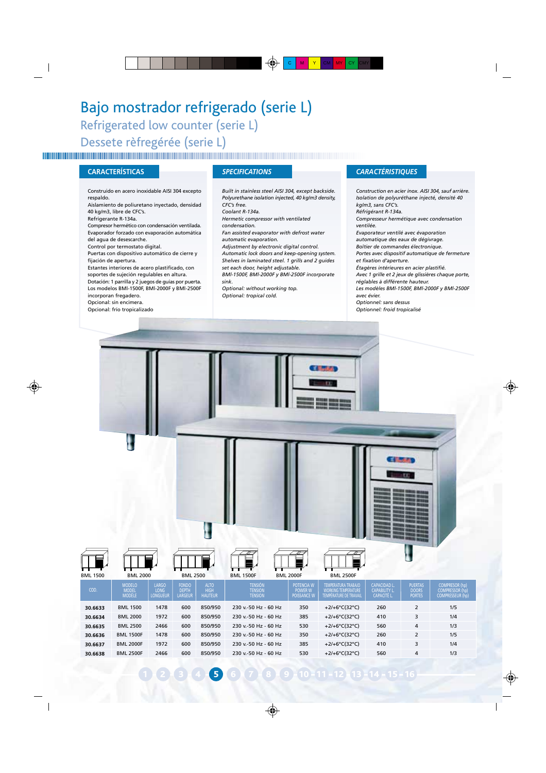## Bajo mostrador refrigerado (serie L)

Refrigerated low counter (serie L) Dessete rèfregérée (serie L)

Construido en acero inoxidable AISI 304 excepto respaldo.

Aislamiento de poliuretano inyectado, densidad 40 kg/m3, libre de CFC's.

Refrigerante R-134a.

Compresor hermético con condensación ventilada. Evaporador forzado con evaporación automática del agua de desescarche.

Control por termostato digital.

Puertas con dispositivo automático de cierre y fijación de apertura.

Estantes interiores de acero plastificado, con soportes de sujeción regulables en altura. Dotación: 1 parrilla y 2 juegos de guías por puerta. Los modelos BMl-1500F, BMl-2000F y BMl-2500F

incorporan fregadero.

Opcional: sin encimera.

Opcional: frío tropicalizado

*Built in stainless steel AISI 304, except backside. Polyurethane isolation injected, 40 kg/m3 density, CFC's free. Coolant R-134a. Hermetic compressor with ventilated condensation. Fan assisted evaporator with defrost water automatic evaporation. Adjustment by electronic digital control. Automatic lock doors and keep-opening system. Shelves in laminated steel. 1 grills and 2 guides set each door, height adjustable. BMl-1500F, BMl-2000F y BMl-2500F incorporate sink. Optional: without working top.*

*Optional: tropical cold.*

### **CARACTERÍSTICAS** *SPECIFICATIONS CARACTÉRISTIQUES*

*Construction en acier inox. AISI 304, sauf arrière. Isolation de polyuréthane injecté, densité 40 kg/m3, sans CFC's. Réfrigérant R-134a. Compresseur hermétique avec condensation ventilée. Evaporateur ventilé avec évaporation automatique des eaux de dégivrage. Boîtier de commandes électronique. Portes avec dispositif automatique de fermeture et fixation d'aperture. Étagères intérieures en acier plastifié. Avec 1 grille et 2 jeux de glissières chaque porte, réglables à différente hauteur. Les modèles BMl-1500F, BMl-2000F y BMl-2500F avec évier. Optionnel: sans dessus Optionnel: froid tropicalisé*

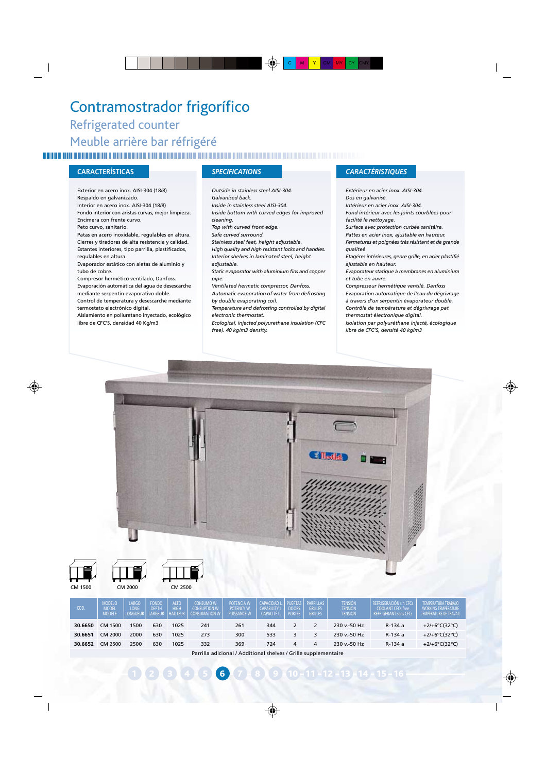### Contramostrador frigorífico Refrigerated counter Meuble arrière bar réfrigéré

### **CARACTERÍSTICAS** *SPECIFICATIONS CARACTÉRISTIQUES*

Exterior en acero inox. AISI-304 (18/8) Respaldo en galvanizado. Interior en acero inox. AISI-304 (18/8) Fondo interior con aristas curvas, mejor limpieza. Encimera con frente curvo. Peto curvo, sanitario. Patas en acero inoxidable, regulables en altura. Cierres y tiradores de alta resistencia y calidad. Estantes interiores, tipo parrilla, plastificados, regulables en altura. Evaporador estático con aletas de aluminio y tubo de cobre. Compresor hermético ventilado, Danfoss. Evaporación automática del agua de desescarche mediante serpentín evaporativo doble.

Control de temperatura y desescarche mediante termostato electrónico digital.

Aislamiento en poliuretano inyectado, ecológico libre de CFC'S, densidad 40 Kg/m3

*Outside in stainless steel AISI-304. Galvanised back. Inside in stainless steel AISI-304. Inside bottom with curved edges for improved cleaning. Top with curved front edge. Safe curved surround. Stainless steel feet, height adjustable. High quality and high resistant locks and handles. Interior shelves in laminated steel, height adjustable. Static evaporator with aluminium fins and copper pipe. Ventilated hermetic compressor, Danfoss. Automatic evaporation of water from defrosting by double evaporating coil. Temperature and defrosting controlled by digital electronic thermostat.*

*Ecological, injected polyurethane insulation (CFC free). 40 kg/m3 density.*

*Extérieur en acier inox. AISI-304. Dos en galvanisé. Intérieur en acier inox. AISI-304. Fond intérieur avec les joints courblées pour facilité le nettoyage.*

*Surface avec protection curbée sanitáire.*

*Pattes en acier inox, ajustable en hauteur. Fermetures et poignées très résistant et de grande qualiteé*

*Etagéres intérieures, genre grille, en acier plastifié ajustable en hauteur.*

*Evaporateur statique à membranes en aluminium et tube en auvre.*

*Compresseur hermétique ventilé. Danfoss Evaporation automatique de l'eau du dégrivrage à travers d'un serpentin évaporateur double. Contrôle de température et dégrivrage pat thermostat électronique digital.*

*Isolation par polyuréthane injecté, écologique libre de CFC'S, densité 40 kg/m3*





CM 1500 CM 2000 **30.6651** 30.6652 CM 2500 1500 2000 2500 1025 1025 1025 630 630 630 241 273 332 261 300 369 344 533 724 2 3 4 2 3 4 230 v.-50 Hz 230 v.-50 Hz 230 v.-50 Hz R-134 a R-134 a R-134 a +2/+6ºC(32ºC) +2/+6ºC(32ºC) +2/+6ºC(32ºC) **30.6650** MODÈLE COD. MODELO LARGO<br>COD. MODEL LONG LONGUEUR ALIO HAUTEUR FONDO DEPTH LARGEUR CONSUMO W CONSUPTION W CONSUMATION W POTENCIA W POTENCY W PUISSANCE W CAPACIDAD L. CAPABILITY L. PUERTAS DOORS PARRILLAS GRILLES **TENSION** TENSION TENSION REFRIGERACIÓN sin CFCs COOLANT CFCs-free REFRIGERANT sans CFCs TEMPERATURA TRABAJO WORKING TEMPERATURE TEMPÉRATURE DE TRAVAIL

Parrilla adicional / Additional shelves / Grille supplementaire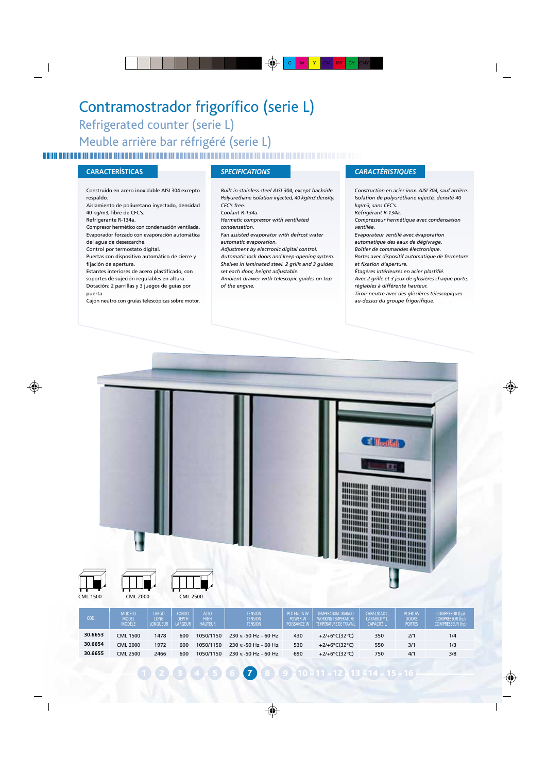## Contramostrador frigorífico (serie L) Refrigerated counter (serie L) Meuble arrière bar réfrigéré (serie L)

Construido en acero inoxidable AISI 304 excepto respaldo.

Aislamiento de poliuretano inyectado, densidad 40 kg/m3, libre de CFC's.

Refrigerante R-134a.

Compresor hermético con condensación ventilada. Evaporador forzado con evaporación automàtica del agua de desescarche.

Control por termostato digital.

Puertas con dispositivo automático de cierre y

fijación de apertura.

Estantes interiores de acero plastificado, con

soportes de sujeción regulables en altura. Dotación: 2 parrillas y 3 juegos de guías por

puerta.

Cajón neutro con gruías telescópicas sobre motor.

*Built in stainless steel AISI 304, except backside. Polyurethane isolation injected, 40 kg/m3 density, CFC's free.*

*Coolant R-134a.*

*Hermetic compressor with ventilated*

*condensation. Fan assisted evaporator with defrost water*

*automatic evaporation.*

*Adjustment by electronic digital control.*

*Automatic lock doors and keep-opening system. Shelves in laminated steel. 2 grills and 3 guides set each door, height adjustable.*

*Ambient drawer with telescopic guides on top of the engine.*

### **CARACTERÍSTICAS** *SPECIFICATIONS CARACTÉRISTIQUES*

*Construction en acier inox. AISI 304, sauf arrière. Isolation de polyuréthane injecté, densité 40 kg/m3, sans CFC's. Réfrigérant R-134a. Compresseur hermétique avec condensation ventilée. Evaporateur ventilé avec évaporation automatique des eaux de dégivrage. Boîtier de commandes électronique. Portes avec dispositif automatique de fermeture et fixation d'aperture. Étagères intérieures en acier plastifié. Avec 2 grille et 3 jeux de glissières chaque porte, réglables à différente hauteur. Tiroir neutre avec des glissières télescopiques au-dessus du groupe frigorifique.*



| COD.    | MODELO<br>MODEL<br>MODELE | LARGO<br>LONG<br><b>LONGUEUR</b> | <b>FONDO</b><br><b>DEPTH</b><br><b>LARGEUR</b> | ALTO<br><b>HIGH</b><br><b>HAUTEUR</b> | Tension<br><b>TENSION</b><br><b>TENSION</b> | <b>POTENCIA W</b><br><b>POWER W</b><br><b>POISSANCE W</b> | TEMPERATURA TRABAJO<br><b>WORKING TEMPERATURE</b><br>TEMPÉRATURE DE TRAVAIL | <b>CAPACIDAD L</b><br><b>CAPABILITY L</b><br><b>CAPACITÉ L</b> | <b>PUERTAS</b><br><b>DOORS</b><br><b>PORTES</b> | <b>COMPRESOR (hp</b><br><b>COMPRESSOR (hp)</b><br><b>COMPRESSEUR (hp)</b> |
|---------|---------------------------|----------------------------------|------------------------------------------------|---------------------------------------|---------------------------------------------|-----------------------------------------------------------|-----------------------------------------------------------------------------|----------------------------------------------------------------|-------------------------------------------------|---------------------------------------------------------------------------|
| 30.6653 | <b>CML 1500</b>           | 1478                             | 600                                            | 1050/1150                             | 230 v - 50 Hz - 60 Hz                       | 430                                                       | +2/+6°C(32°C)                                                               | 350                                                            | 2/1                                             | 1/4                                                                       |
| 30.6654 | <b>CML 2000</b>           | 1972                             | 600                                            | 1050/1150                             | 230 v - 50 Hz - 60 Hz                       | 530                                                       | +2/+6°C(32°C)                                                               | 550                                                            | 3/1                                             | 1/3                                                                       |
| 30.6655 | <b>CML 2500</b>           | 2466                             | 600                                            | 1050/1150                             | 230 v.-50 Hz - 60 Hz                        | 690                                                       | $+2/+6^{\circ}C(32^{\circ}C)$                                               | 750                                                            | 4/1                                             | 3/8                                                                       |
|         |                           |                                  |                                                |                                       |                                             |                                                           |                                                                             |                                                                |                                                 |                                                                           |

1 2 3 4 5 6 7 8 9 10 11 12 13 14 15 16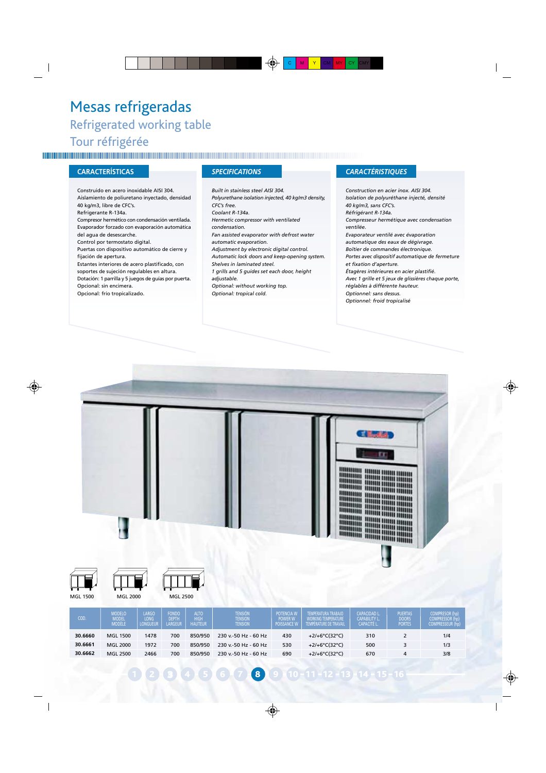## Mesas refrigeradas Refrigerated working table Tour réfrigérée

Construido en acero inoxidable AISI 304. Aislamiento de poliuretano inyectado, densidad 40 kg/m3, libre de CFC's. Refrigerante R-134a. Compresor hermético con condensación ventilada. Evaporador forzado con evaporación automática del agua de desescarche. Control por termostato digital. Puertas con dispositivo automático de cierre y fijación de apertura. Estantes interiores de acero plastificado, con soportes de sujeción regulables en altura. Dotación: 1 parrilla y 5 juegos de guías por puerta. Opcional: sin encimera. Opcional: frío tropicalizado.

*Built in stainless steel AISI 304. Polyurethane isolation injected, 40 kg/m3 density, CFC's free. Coolant R-134a. Hermetic compressor with ventilated condensation. Fan assisted evaporator with defrost water automatic evaporation. Adjustment by electronic digital control. Automatic lock doors and keep-opening system. Shelves in laminated steel. 1 grills and 5 guides set each door, height adjustable. Optional: without working top. Optional: tropical cold.*

### **CARACTERÍSTICAS** *SPECIFICATIONS CARACTÉRISTIQUES*

*Construction en acier inox. AISI 304. Isolation de polyuréthane injecté, densité 40 kg/m3, sans CFC's. Réfrigérant R-134a. Compresseur hermétique avec condensation ventilée. Evaporateur ventilé avec évaporation automatique des eaux de dégivrage. Boîtier de commandes électronique. Portes avec dispositif automatique de fermeture et fixation d'aperture. Étagères intérieures en acier plastifié. Avec 1 grille et 5 jeux de glissières chaque porte, réglables à différente hauteur. Optionnel: sans dessus. Optionnel: froid tropicalisé*





MGL 1500 MGL 2000 MGL 2500



123 4 5 6 7 8 9 10 11 12 13 14 15 16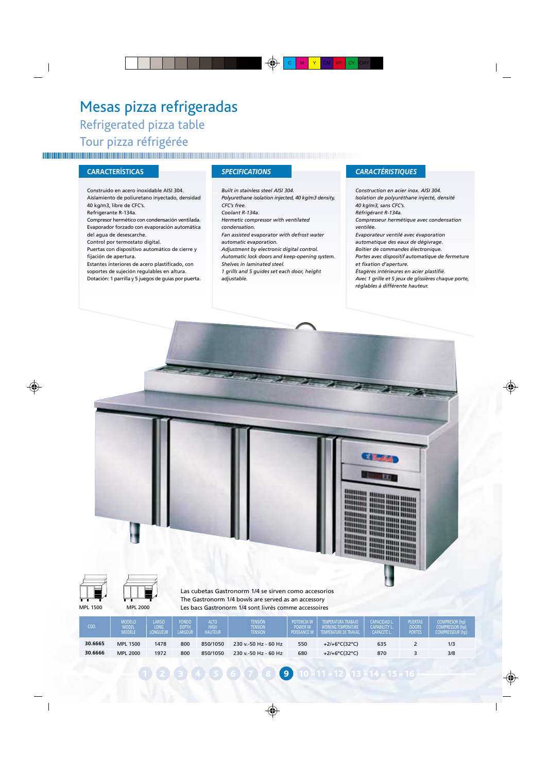## Mesas pizza refrigeradas Refrigerated pizza table Tour pizza réfrigérée

Construido en acero inoxidable AISI 304. Aislamiento de poliuretano inyectado, densidad 40 kg/m3, libre de CFC's. Refrigerante R-134a. Compresor hermético con condensación ventilada. Evaporador forzado con evaporación automática del agua de desescarche. Control por termostato digital. Puertas con dispositivo automático de cierre y fijación de apertura. Estantes interiores de acero plastificado, con soportes de sujeción regulables en altura. Dotación: 1 parrilla y 5 juegos de guías por puerta.

*Built in stainless steel AISI 304. Polyurethane isolation injected, 40 kg/m3 density, CFC's free. Coolant R-134a. Hermetic compressor with ventilated condensation. Fan assisted evaporator with defrost water automatic evaporation. Adjustment by electronic digital control. Automatic lock doors and keep-opening system. Shelves in laminated steel. 1 grills and 5 guides set each door, height adjustable.*

### **CARACTERÍSTICAS** *SPECIFICATIONS CARACTÉRISTIQUES*

*Construction en acier inox. AISI 304. Isolation de polyuréthane injecté, densité 40 kg/m3, sans CFC's. Réfrigérant R-134a. Compresseur hermétique avec condensation ventilée. Evaporateur ventilé avec évaporation automatique des eaux de dégivrage. Boîtier de commandes électronique. Portes avec dispositif automatique de fermeture et fixation d'aperture. Étagères intérieures en acier plastifié. Avec 1 grille et 5 jeux de glissières chaque porte, réglables à différente hauteur.*







Las cubetas Gastronorm 1/4 se sirven como accesorios The Gastronorm 1/4 bowls are served as an accessory Les bacs Gastronorm 1/4 sont livrés comme accessoires

| COD.    | <b>MODELO</b><br><b>AODEL</b><br><b>MODELE</b> | LARGO<br>ONG<br>LONGUEUR. | <b>FONDO</b><br><b>DEPTH</b><br><b>LARGEUR</b> | <b>ALTO</b><br><b>HIGH</b><br><b>HAUTEUR</b> | <b>TENSIÓN</b><br><b>TENSION</b><br><b>TENSION</b> | <b>POTENCIA W</b><br><b>POWER W</b><br><b>POISSANCE W</b> | TEMPERATURA TRABAJO<br><b>WORKING TEMPERATURE</b><br>TEMPÉRATURE DE TRAVAIL | <b>CAPACIDAD L</b><br><b>CAPABILITY L</b><br><b>CAPACITÉ L</b> | <b>PUERTAS</b><br><b>DOORS</b><br><b>PORTES</b> | <b>COMPRESOR (hp)</b><br><b>COMPRESSOR (hp)</b><br><b>COMPRESSEUR (hp)</b> |
|---------|------------------------------------------------|---------------------------|------------------------------------------------|----------------------------------------------|----------------------------------------------------|-----------------------------------------------------------|-----------------------------------------------------------------------------|----------------------------------------------------------------|-------------------------------------------------|----------------------------------------------------------------------------|
| 30.6665 | MPL 1500                                       | 1478                      | 800                                            | 850/1050                                     | 230 v.-50 Hz - 60 Hz                               | 550                                                       | +2/+6°C(32°C)                                                               | 635                                                            |                                                 | 1/3                                                                        |
| 30.6666 | MPL 2000                                       | 1972                      | 800                                            | 850/1050                                     | 230 v - 50 Hz - 60 Hz                              | 680                                                       | +2/+6°C(32°C)                                                               | 870                                                            |                                                 | 3/8                                                                        |
|         |                                                |                           |                                                |                                              |                                                    |                                                           |                                                                             |                                                                |                                                 |                                                                            |

 $9 - 11 - 12 - 13 - 14 - 15 - 16$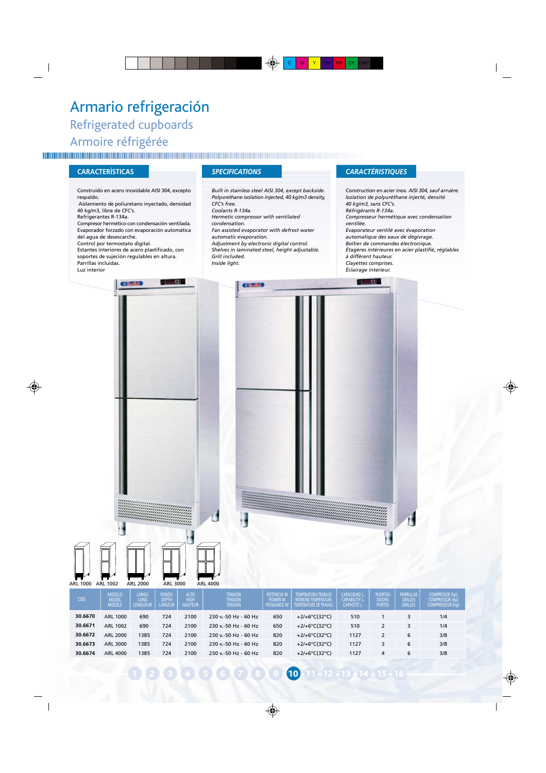## Armario refrigeración Refrigerated cupboards Armoire réfrigérée

Construido en acero inoxidable AISI 304, excepto respaldo. Aislamiento de poliuretano inyectado, densidad 40 kg/m3, libre de CFC's. Refrigerantes R-134a. Compresor hermético con condensación ventilada. Evaporador forzado con evaporación automática del agua de desescarche. Control por termostato digital. Estantes interiores de acero plastificado, con soportes de sujeción regulables en altura. Parrillas incluidas. Luz interior 51 H 100 Chicano

*Built in stainless steel AISI 304, except backside. Polyurethane isolation injected, 40 kg/m3 density, CFC's free.*

*Coolants R-134a. Hermetic compressor with ventilated*

*condensation.*

*Fan assisted evaporator with defrost water automatic evaporation.*

*Adjustment by electronic digital control. Shelves in laminated steel, height adjustable. Grill included.*

*Inside light.*

### **CARACTERÍSTICAS** *SPECIFICATIONS CARACTÉRISTIQUES*

 $\mathbf{u}$ 

*Construction en acier inox. AISI 304, sauf arruère. Isolation de polyuréthane injecté, densité 40 kg/m3, sans CFC's. Réfrigérants R-134a. Compresseur hermétique avec condensation ventilée. Evaporateur ventilé avec évaporation automatique des eaux de dégivrage. Boîtier de commandes électronique. Étagères intérieures en acier plastifié, réglables à différent hauteur. Clayettes comprises. Éclairage interieur.*



| COD.    | <b>MODELO</b><br><b>MODEL</b><br>MODÈLE | LARGO<br><b>LONG</b><br><b>LONGUEUR</b> | <b>FONDO</b><br><b>DEPTH</b><br><b>LARGEUR</b> | <b>ALTO</b><br><b>HIGH</b><br><b>HAUTEUR</b> | <b>TENSIÓN</b><br><b>TENSION</b><br><b>TENSION</b> | POTENCIA W<br><b>POWER W</b><br><b>POISSANCE W</b> | <b>TEMPERATURA TRABAJO</b><br><b>WORKING TEMPERATURE</b><br>TEMPÉRATURE DE TRAVAIL | <b>CAPACIDAD L.</b><br><b>CAPABILITY L</b><br><b>CAPACITÉ L</b> | <b>PUERTAS</b><br><b>DOORS</b><br><b>PORTES</b> | <b>PARRILLAS</b><br><b>GRILLES</b><br><b>GRILLES</b> | <b>COMPRESOR (hp)</b><br><b>COMPRESSOR (hp)</b><br><b>COMPRESSEUR (hp)</b> |
|---------|-----------------------------------------|-----------------------------------------|------------------------------------------------|----------------------------------------------|----------------------------------------------------|----------------------------------------------------|------------------------------------------------------------------------------------|-----------------------------------------------------------------|-------------------------------------------------|------------------------------------------------------|----------------------------------------------------------------------------|
| 30.6670 | ARL 1000                                | 690                                     | 724                                            | 2100                                         | 230 v.-50 Hz - 60 Hz                               | 650                                                | +2/+6°C(32°C)                                                                      | 510                                                             |                                                 |                                                      | 1/4                                                                        |
| 30.6671 | ARL 1002                                | 690                                     | 724                                            | 2100                                         | 230 v.-50 Hz - 60 Hz                               | 650                                                | +2/+6°C(32°C)                                                                      | 510                                                             |                                                 | 3                                                    | 1/4                                                                        |
| 30.6672 | ARL 2000                                | 1385                                    | 724                                            | 2100                                         | 230 v.-50 Hz - 60 Hz                               | 820                                                | $+2/+6^{\circ}C(32^{\circ}C)$                                                      | 1127                                                            |                                                 | 6                                                    | 3/8                                                                        |
| 30.6673 | ARL 3000                                | 1385                                    | 724                                            | 2100                                         | 230 v.-50 Hz - 60 Hz                               | 820                                                | +2/+6°C(32°C)                                                                      | 1127                                                            |                                                 | 6                                                    | 3/8                                                                        |
| 30.6674 | ARL 4000                                | 1385                                    | 724                                            | 2100                                         | 230 v.-50 Hz - 60 Hz                               | 820                                                | +2/+6°C(32°C)                                                                      | 1127                                                            | 4                                               | 6                                                    | 3/8                                                                        |

 $8$  9 10 11 12 - 13 14 - 15 - 16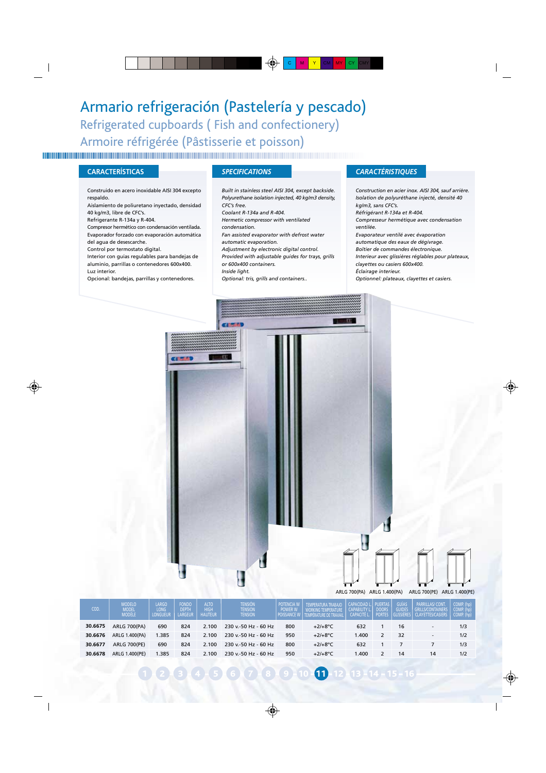## Armario refrigeración (Pastelería y pescado) Refrigerated cupboards ( Fish and confectionery) Armoire réfrigérée (Pâstisserie et poisson)

### **CARACTERÍSTICAS** *SPECIFICATIONS CARACTÉRISTIQUES*

Construido en acero inoxidable AISI 304 excepto respaldo.

Aislamiento de poliuretano inyectado, densidad 40 kg/m3, libre de CFC's.

Refrigerante R-134a y R-404.

Compresor hermético con condensación ventilada. Evaporador forzado con evaporación automática del agua de desescarche.

Control por termostato digital.

Interior con guías regulables para bandejas de

aluminio, parrillas o contenedores 600x400. Luz interior.

Opcional: bandejas, parrillas y contenedores.

*Built in stainless steel AISI 304, except backside. Polyurethane isolation injected, 40 kg/m3 density, CFC's free.*

*Coolant R-134a and R-404.*

*Hermetic compressor with ventilated condensation.*

*Fan assisted evaporator with defrost water*

*automatic evaporation.*

*Adjustment by electronic digital control.*

*Provided with adjustable guides for trays, grills*

*or 600x400 containers.*

*Inside light.*

*Optional: tris, grills and containers..*

*Construction en acier inox. AISI 304, sauf arrière. Isolation de polyuréthane injecté, densité 40 kg/m3, sans CFC's. Réfrigérant R-134a et R-404.*

*Compresseur hermétique avec condensation ventilée.*

*Evaporateur ventilé avec évaporation automatique des eaux de dégivrage. Boîtier de commandes électronique. Interieur avec glissières réglables pour plateaux,*

*clayettes ou casiers 600x400. Éclairage interieur.*

*Optionnel: plateaux, clayettes et casiers.*



### ARLG 700(PA) ARLG 1.400(PA) ARLG 700(PE) ARLG 1.400(PE)

| COD.    | <b>MODELO</b><br><b>MODEL</b><br>MODÈLE | LARGO<br><b>LONG</b><br><b>LONGUEUR</b> | <b>FONDO</b><br><b>DEPTH</b><br><b>LARGEUR</b> | <b>ALTO</b><br><b>HIGH</b><br><b>HAUTEUR</b> | <b>TENSIÓN</b><br><b>TENSION</b><br><b>TENSION</b> | POTENCIA W<br><b>POWER W</b><br><b>POISSANCE W</b> | TEMPERATURA TRABAJO<br><b>WORKING TEMPERATURE</b><br>TEMPÉRATURE DE TRAVAIL | <b>CAPACIDAD L.I</b><br><b>CAPABILITY</b><br><b>CAPACITÉ L</b> | <b>PUERTAS</b><br><b>DOORS</b><br><b>PORTES</b> | <b>GUIAS</b><br><b>GUIDES</b> | <b>PARRILLAS/CONT.</b><br><b>GRILLS/CONTAINERS</b><br><b>CLAYETTES/CASIERS</b> | COMP. (hp)<br>COMP. (hp)<br>COMP. (hp) |
|---------|-----------------------------------------|-----------------------------------------|------------------------------------------------|----------------------------------------------|----------------------------------------------------|----------------------------------------------------|-----------------------------------------------------------------------------|----------------------------------------------------------------|-------------------------------------------------|-------------------------------|--------------------------------------------------------------------------------|----------------------------------------|
| 30.6675 | <b>ARLG 700(PA)</b>                     | 690                                     | 824                                            | 2.100                                        | 230 v.-50 Hz - 60 Hz                               | 800                                                | $+2/+8$ °C                                                                  | 632                                                            |                                                 | 16                            | $\overline{\phantom{a}}$                                                       | 1/3                                    |
| 30.6676 | ARLG 1.400(PA)                          | .385                                    | 824                                            | 2.100                                        | 230 v.-50 Hz - 60 Hz                               | 950                                                | $+2/+8$ °C                                                                  | .400                                                           |                                                 | 32                            | $\sim$                                                                         | 1/2                                    |
| 30.6677 | <b>ARLG 700(PE)</b>                     | 690                                     | 824                                            | 2.100                                        | 230 v.-50 Hz - 60 Hz                               | 800                                                | $+2/+8$ °C                                                                  | 632                                                            |                                                 |                               |                                                                                | 1/3                                    |
| 30.6678 | ARLG 1.400(PE)                          | .385                                    | 824                                            | 2.100                                        | 230 v.-50 Hz - 60 Hz                               | 950                                                | $+2/+8$ °C                                                                  | .400                                                           |                                                 | 14                            | 14                                                                             | 1/2                                    |
|         |                                         |                                         |                                                |                                              |                                                    |                                                    |                                                                             |                                                                |                                                 |                               |                                                                                |                                        |

 $6$   $7$   $8$   $9$   $10$   $11$   $12$   $13$   $14$   $15$   $16$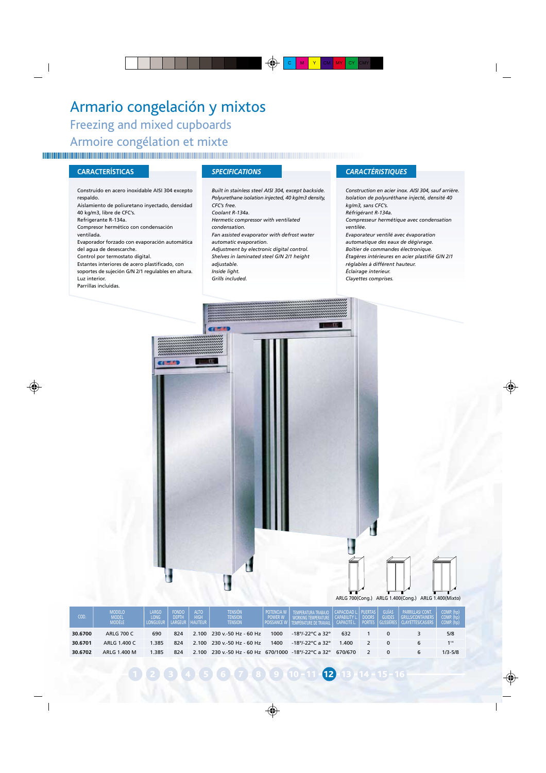## Armario congelación y mixtos Freezing and mixed cupboards Armoire congélation et mixte

### **CARACTERÍSTICAS** *SPECIFICATIONS CARACTÉRISTIQUES*

Construido en acero inoxidable AISI 304 excepto respaldo. Aislamiento de poliuretano inyectado, densidad 40 kg/m3, libre de CFC's. Refrigerante R-134a. Compresor hermético con condensación ventilada. Evaporador forzado con evaporación automática del agua de desescarche. Control por termostato digital. Estantes interiores de acero plastificado, con soportes de sujeción G/N 2/1 regulables en altura. Luz interior. Parrillas incluidas.

*Built in stainless steel AISI 304, except backside. Polyurethane isolation injected, 40 kg/m3 density, CFC's free. Coolant R-134a. Hermetic compressor with ventilated condensation. Fan assisted evaporator with defrost water automatic evaporation. Adjustment by electronic digital control. Shelves in laminated steel G/N 2/1 height adjustable. Inside light. Grills included.*

*Construction en acier inox. AISI 304, sauf arrière. Isolation de polyuréthane injecté, densité 40 kg/m3, sans CFC's. Réfrigérant R-134a. Compresseur hermétique avec condensation ventilée. Evaporateur ventilé avec évaporation automatique des eaux de dégivrage. Boîtier de commandes électronique. Étagères intérieures en acier plastifié G/N 2/1 réglables à différent hauteur. Éclairage interieur. Clayettes comprises.*



| COD.    | <b>MODELO</b><br><b>MODEL</b><br><b>MODELE</b> | <b>LARGO</b><br><b>LONG</b><br><b>LONGUEUR</b> | <b>FONDO</b><br><b>DEPTH</b><br>LARGEUR | <b>ALTO</b><br><b>HIGH</b><br><b>HAUTEUR</b> | <b>TENSIÓN</b><br><b>TENSION</b><br><b>TENSION</b>   | <b>POTENCIA W</b><br><b>POWER W</b><br><b>POISSANCE W</b> | TEMPERATURA TRABAJO               | CAPACIDAD L. PUERTAS<br><b>CAPABILITY L.</b><br><b>CAPACITÉ L.</b> | <b>DOORS</b><br><b>PORTES</b> | <b>GUÍAS</b><br><b>GUIDES</b><br>GLISSIERES | <b>PARRILLAS/CONT.</b><br><b>GRILLS/CONTAINERS</b><br><b>CLAYETTES/CASIERS</b> | COMP. (hp)<br>COMP. (hp)<br>COMP. (hp) |
|---------|------------------------------------------------|------------------------------------------------|-----------------------------------------|----------------------------------------------|------------------------------------------------------|-----------------------------------------------------------|-----------------------------------|--------------------------------------------------------------------|-------------------------------|---------------------------------------------|--------------------------------------------------------------------------------|----------------------------------------|
| 30.6700 | <b>ARLG 700 C</b>                              | 690                                            | 824                                     |                                              | $2.100$ $230$ v.-50 Hz - 60 Hz                       | 1000                                                      | $-18^{\circ}/-22^{\circ}$ C a 32° | 632                                                                |                               |                                             |                                                                                | 5/8                                    |
| 30.6701 | ARLG 1.400 C                                   | 1.385                                          | 824                                     |                                              | 2.100 230 v.-50 Hz - 60 Hz                           | 1400                                                      | $-18^{\circ}/-22^{\circ}$ C a 32° | 1.400                                                              |                               |                                             |                                                                                | 1 1/4                                  |
| 30.6702 | ARLG 1.400 M                                   | 1.385                                          | 824                                     |                                              | 2.100 230 v.-50 Hz - 60 Hz 670/1000 -18°/-22°C a 32° |                                                           |                                   | 670/670                                                            |                               |                                             |                                                                                | $1/3 - 5/8$                            |

6 7 8 9 10 11 **12** 13 14 15 16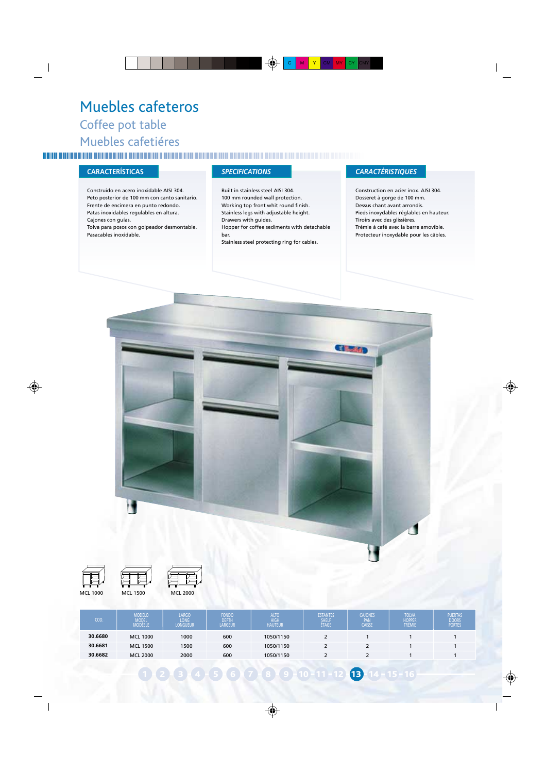## Muebles cafeteros Coffee pot table Muebles cafetiéres

### **CARACTERÍSTICAS** *SPECIFICATIONS CARACTÉRISTIQUES*

Construido en acero inoxidable AISI 304. Peto posterior de 100 mm con canto sanitario. Frente de encimera en punto redondo. Patas inoxidables regulables en altura. Cajones con guías.

Tolva para posos con golpeador desmontable. Pasacables inoxidable.

Built in stainless steel AISI 304. 100 mm rounded wall protection. Working top front whit round finish. Stainless legs with adjustable height. Drawers with guides. Hopper for coffee sediments with detachable bar.

Stainless steel protecting ring for cables.

Construction en acier inox. AISI 304. Dosseret à gorge de 100 mm. Dessus chant avant arrondis. Pieds inoxydables réglables en hauteur. Tiroirs avec des glissières. Trémie à café avec la barre amovible. Protecteur inoxydable pour les câbles.







MCL 1000 MCL 1500 MCL 2000 1000 1500 2000 600 600 600 1050/1150 1050/1150 1050/1150 2 2  $\overline{2}$ 1 2  $\overline{2}$ 1 1 1 1 1 1 **30.6680 30.6681 30.6682** MODEL MODÈELE COD. LARGO LONGUEUR HIGH HAUTEUR DEPTH LARGEUR SHELF ÉTAGE PAN CAISSE TOLVA HOPPER TRÉMIE

 $10 - 11 - 12$   $13 - 14 - 15 - 16$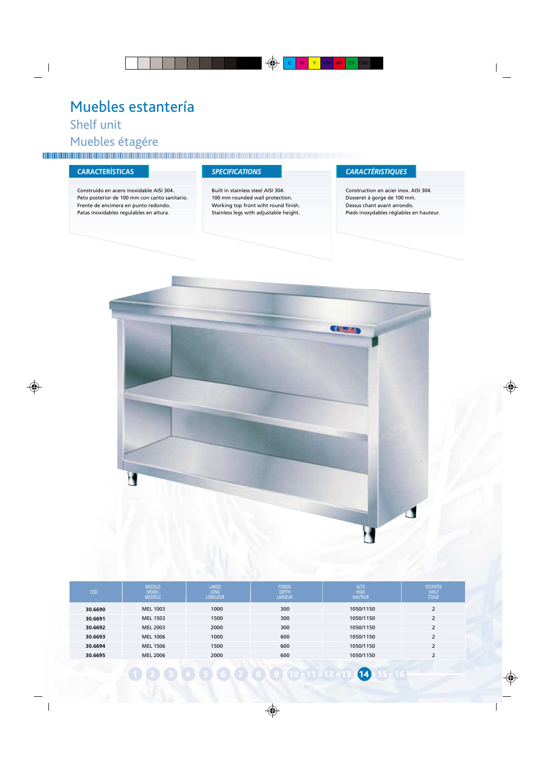## Muebles estantería Shelf unit Muebles étagére

Construido en acero inoxidable AISI 304. Peto posterior de 100 mm con canto sanitario. Frente de encimera en punto redondo. Patas inoxidables regulables en altura.

Built in stainless steel AISI 304. 100 mm rounded wall protection. Working top front wiht round finish. Stainless legs with adjustable height.

### **CARACTERÍSTICAS** *SPECIFICATIONS CARACTÉRISTIQUES*

Construction en acier inox. AISI 304. Dosseret à gorge de 100 mm. Dessus chant avant arrondis. Pieds inoxydables réglables en hauteur.



| COD.    | <b>MODELO</b><br><b>MODEL</b><br><b>MODÈELE</b> | <b>LARGO</b><br>LONG<br><b>LONGUEUR</b> | <b>FONDO</b><br><b>DEPTH</b><br><b>LARGEUR</b> | <b>ALTO</b><br><b>HIGH</b><br><b>HAUTEUR</b> | <b>ESTANTES</b><br>SHELF<br>ÉTAGE |
|---------|-------------------------------------------------|-----------------------------------------|------------------------------------------------|----------------------------------------------|-----------------------------------|
| 30.6690 | MEL 1003                                        | 1000                                    | 300                                            | 1050/1150                                    | h                                 |
| 30.6691 | MEL 1503                                        | 1500                                    | 300                                            | 1050/1150                                    | $\overline{\mathbf{z}}$           |
| 30.6692 | MEL 2003                                        | 2000                                    | 300                                            | 1050/1150                                    | $\overline{\phantom{a}}$          |
| 30.6693 | MEL 1006                                        | 1000                                    | 600                                            | 1050/1150                                    | $\overline{\mathbf{z}}$           |
| 30.6694 | MEL 1506                                        | 1500                                    | 600                                            | 1050/1150                                    | $\overline{\mathbf{z}}$           |
| 30.6695 | <b>MEL 2006</b>                                 | 2000                                    | 600                                            | 1050/1150                                    | ٠                                 |

2 3 4 5 6 7 8 9 10 11 12 13 14 15 16